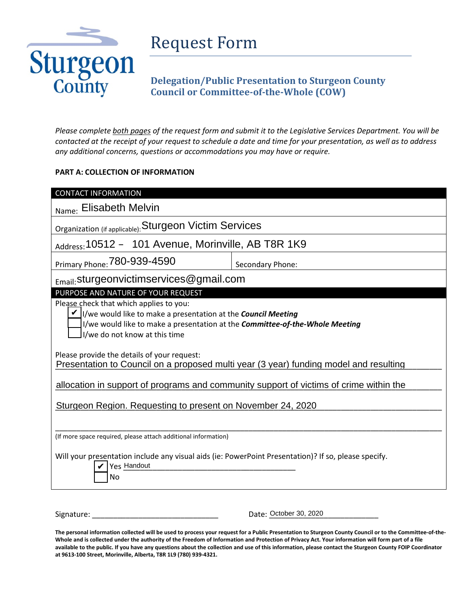

## Request Form

## **Delegation/Public Presentation to Sturgeon County Council or Committee-of-the-Whole (COW)**

*Please complete both pages of the request form and submit it to the Legislative Services Department. You will be contacted at the receipt of your request to schedule a date and time for your presentation, as well as to address any additional concerns, questions or accommodations you may have or require.*

## **PART A: COLLECTION OF INFORMATION**

| <b>CONTACT INFORMATION</b>                                                                                                                                                                                                       |                        |  |
|----------------------------------------------------------------------------------------------------------------------------------------------------------------------------------------------------------------------------------|------------------------|--|
| Name: Elisabeth Melvin                                                                                                                                                                                                           |                        |  |
| Organization (if applicable): Sturgeon Victim Services                                                                                                                                                                           |                        |  |
| Address: 10512 - 101 Avenue, Morinville, AB T8R 1K9                                                                                                                                                                              |                        |  |
| Primary Phone: 780-939-4590                                                                                                                                                                                                      | Secondary Phone:       |  |
| $_{\text{Email}}$ : sturgeonvictimservices @gmail.com                                                                                                                                                                            |                        |  |
| PURPOSE AND NATURE OF YOUR REQUEST                                                                                                                                                                                               |                        |  |
| Please check that which applies to you:<br>I/we would like to make a presentation at the <b>Council Meeting</b><br>I/we would like to make a presentation at the Committee-of-the-Whole Meeting<br>I/we do not know at this time |                        |  |
| Please provide the details of your request:<br>Presentation to Council on a proposed multi year (3 year) funding model and resulting                                                                                             |                        |  |
| allocation in support of programs and community support of victims of crime within the                                                                                                                                           |                        |  |
| Sturgeon Region. Requesting to present on November 24, 2020                                                                                                                                                                      |                        |  |
| (If more space required, please attach additional information)<br>Will your presentation include any visual aids (ie: PowerPoint Presentation)? If so, please specify.<br>Yes Handout<br>No                                      |                        |  |
| Signature:                                                                                                                                                                                                                       | Date: October 30, 2020 |  |

Signature: \_\_\_\_\_\_\_\_\_\_\_\_\_\_\_\_\_\_\_\_\_\_\_\_\_\_\_\_\_\_ Date: \_\_\_\_\_\_\_\_\_\_\_\_\_\_\_\_\_\_\_\_\_\_\_\_\_\_

**The personal information collected will be used to process your request for a Public Presentation to Sturgeon County Council or to the Committee-of-the-Whole and is collected under the authority of the Freedom of Information and Protection of Privacy Act. Your information will form part of a file available to the public. If you have any questions about the collection and use of this information, please contact the Sturgeon County FOIP Coordinator at 9613-100 Street, Morinville, Alberta, T8R 1L9 (780) 939-4321.**